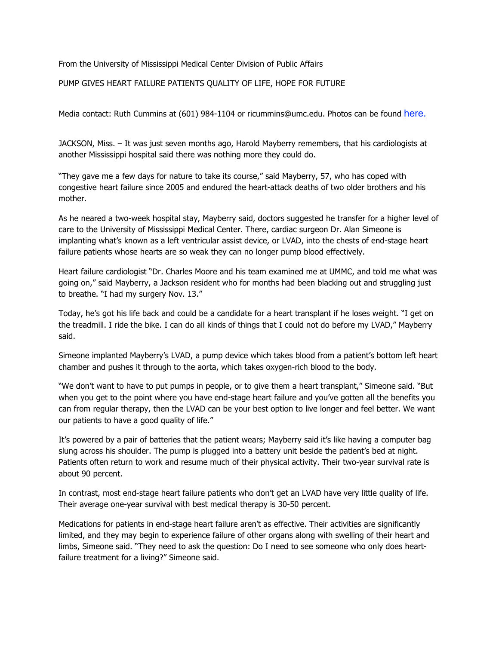From the University of Mississippi Medical Center Division of Public Affairs

PUMP GIVES HEART FAILURE PATIENTS QUALITY OF LIFE, HOPE FOR FUTURE

Media contact: Ruth Cummins at (601) 984-1104 or ricummins@umc.edu. Photos can be found here.

JACKSON, Miss. – It was just seven months ago, Harold Mayberry remembers, that his cardiologists at another Mississippi hospital said there was nothing more they could do.

"They gave me a few days for nature to take its course," said Mayberry, 57, who has coped with congestive heart failure since 2005 and endured the heart-attack deaths of two older brothers and his mother.

As he neared a two-week hospital stay, Mayberry said, doctors suggested he transfer for a higher level of care to the University of Mississippi Medical Center. There, cardiac surgeon Dr. Alan Simeone is implanting what's known as a left ventricular assist device, or LVAD, into the chests of end-stage heart failure patients whose hearts are so weak they can no longer pump blood effectively.

Heart failure cardiologist "Dr. Charles Moore and his team examined me at UMMC, and told me what was going on," said Mayberry, a Jackson resident who for months had been blacking out and struggling just to breathe. "I had my surgery Nov. 13."

Today, he's got his life back and could be a candidate for a heart transplant if he loses weight. "I get on the treadmill. I ride the bike. I can do all kinds of things that I could not do before my LVAD," Mayberry said.

Simeone implanted Mayberry's LVAD, a pump device which takes blood from a patient's bottom left heart chamber and pushes it through to the aorta, which takes oxygen-rich blood to the body.

"We don't want to have to put pumps in people, or to give them a heart transplant," Simeone said. "But when you get to the point where you have end-stage heart failure and you've gotten all the benefits you can from regular therapy, then the LVAD can be your best option to live longer and feel better. We want our patients to have a good quality of life."

It's powered by a pair of batteries that the patient wears; Mayberry said it's like having a computer bag slung across his shoulder. The pump is plugged into a battery unit beside the patient's bed at night. Patients often return to work and resume much of their physical activity. Their two-year survival rate is about 90 percent.

In contrast, most end-stage heart failure patients who don't get an LVAD have very little quality of life. Their average one-year survival with best medical therapy is 30-50 percent.

Medications for patients in end-stage heart failure aren't as effective. Their activities are significantly limited, and they may begin to experience failure of other organs along with swelling of their heart and limbs, Simeone said. "They need to ask the question: Do I need to see someone who only does heartfailure treatment for a living?" Simeone said.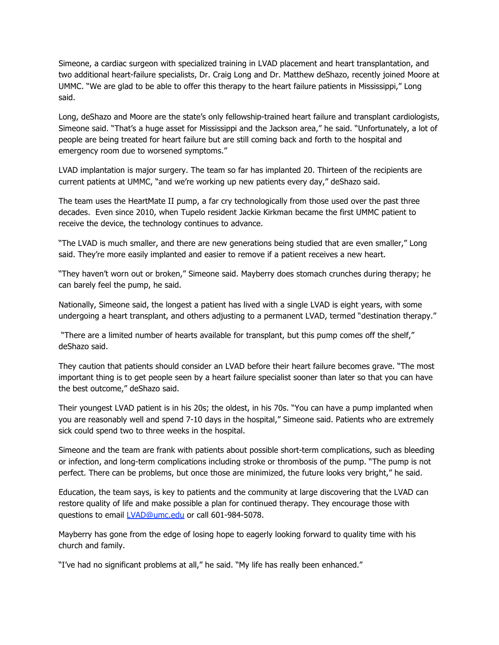Simeone, a cardiac surgeon with specialized training in LVAD placement and heart transplantation, and two additional heart-failure specialists, Dr. Craig Long and Dr. Matthew deShazo, recently joined Moore at UMMC. "We are glad to be able to offer this therapy to the heart failure patients in Mississippi," Long said.

Long, deShazo and Moore are the state's only fellowship-trained heart failure and transplant cardiologists, Simeone said. "That's a huge asset for Mississippi and the Jackson area," he said. "Unfortunately, a lot of people are being treated for heart failure but are still coming back and forth to the hospital and emergency room due to worsened symptoms."

LVAD implantation is major surgery. The team so far has implanted 20. Thirteen of the recipients are current patients at UMMC, "and we're working up new patients every day," deShazo said.

The team uses the HeartMate II pump, a far cry technologically from those used over the past three decades. Even since 2010, when Tupelo resident Jackie Kirkman became the first UMMC patient to receive the device, the technology continues to advance.

"The LVAD is much smaller, and there are new generations being studied that are even smaller," Long said. They're more easily implanted and easier to remove if a patient receives a new heart.

"They haven't worn out or broken," Simeone said. Mayberry does stomach crunches during therapy; he can barely feel the pump, he said.

Nationally, Simeone said, the longest a patient has lived with a single LVAD is eight years, with some undergoing a heart transplant, and others adjusting to a permanent LVAD, termed "destination therapy."

 "There are a limited number of hearts available for transplant, but this pump comes off the shelf," deShazo said.

They caution that patients should consider an LVAD before their heart failure becomes grave. "The most important thing is to get people seen by a heart failure specialist sooner than later so that you can have the best outcome," deShazo said.

Their youngest LVAD patient is in his 20s; the oldest, in his 70s. "You can have a pump implanted when you are reasonably well and spend 7-10 days in the hospital," Simeone said. Patients who are extremely sick could spend two to three weeks in the hospital.

Simeone and the team are frank with patients about possible short-term complications, such as bleeding or infection, and long-term complications including stroke or thrombosis of the pump. "The pump is not perfect. There can be problems, but once those are minimized, the future looks very bright," he said.

Education, the team says, is key to patients and the community at large discovering that the LVAD can restore quality of life and make possible a plan for continued therapy. They encourage those with questions to email *LVAD@umc.edu* or call 601-984-5078.

Mayberry has gone from the edge of losing hope to eagerly looking forward to quality time with his church and family.

"I've had no significant problems at all," he said. "My life has really been enhanced."